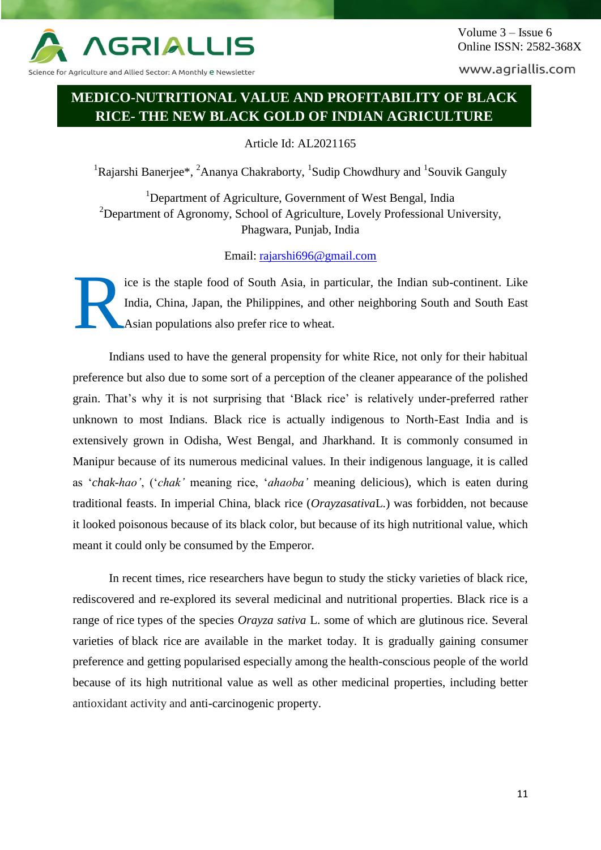

Science for Agriculture and Allied Sector: A Monthly e Newsletter

www.agriallis.com

# **MEDICO-NUTRITIONAL VALUE AND PROFITABILITY OF BLACK RICE- THE NEW BLACK GOLD OF INDIAN AGRICULTURE**

Article Id: AL2021165

<sup>1</sup>Rajarshi Banerjee\*, <sup>2</sup>Ananya Chakraborty, <sup>1</sup>Sudip Chowdhury and <sup>1</sup>Souvik Ganguly

<sup>1</sup>Department of Agriculture, Government of West Bengal, India <sup>2</sup>Department of Agronomy, School of Agriculture, Lovely Professional University, Phagwara, Punjab, India

Email: [rajarshi696@gmail.com](mailto:rajarshi696@gmail.com)

ice is the staple food of South Asia, in particular, the Indian sub-continent. Like India, China, Japan, the Philippines, and other neighboring South and South East Asian populations also prefer rice to wheat. R

Indians used to have the general propensity for white Rice, not only for their habitual preference but also due to some sort of a perception of the cleaner appearance of the polished grain. That's why it is not surprising that 'Black rice' is relatively under-preferred rather unknown to most Indians. Black rice is actually indigenous to North-East India and is extensively grown in Odisha, West Bengal, and Jharkhand. It is commonly consumed in Manipur because of its numerous medicinal values. In their indigenous language, it is called as '*chak-hao'*, ('*chak'* meaning rice, '*ahaoba'* meaning delicious), which is eaten during traditional feasts. In imperial China, black rice (*Orayzasativa*L.) was forbidden, not because it looked poisonous because of its black color, but because of its high nutritional value, which meant it could only be consumed by the Emperor.

In recent times, rice researchers have begun to study the sticky varieties of black rice, rediscovered and re-explored its several medicinal and nutritional properties. Black rice is a range of rice types of the species *Orayza sativa* L. some of which are glutinous rice. Several varieties of black rice are available in the market today. It is gradually gaining consumer preference and getting popularised especially among the health-conscious people of the world because of its high nutritional value as well as other medicinal properties, including better antioxidant activity and anti-carcinogenic property.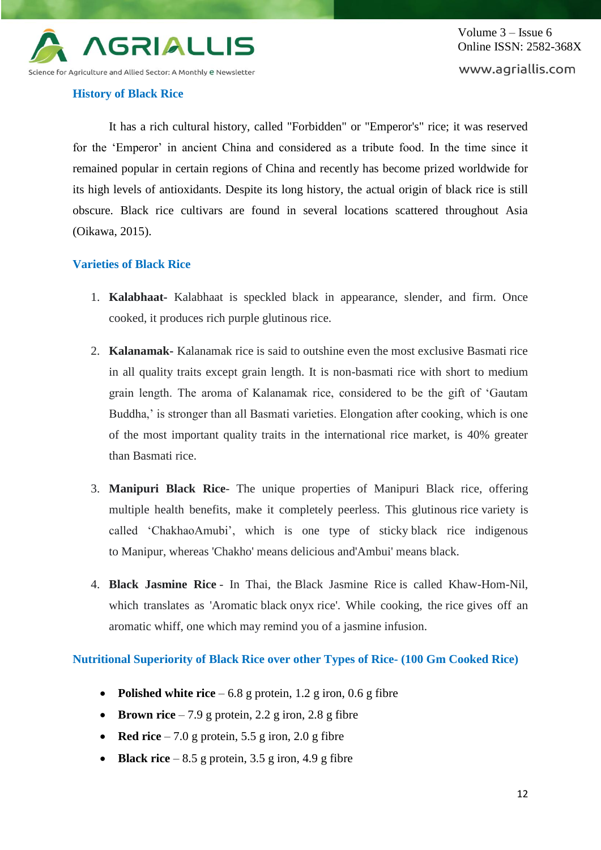

#### **History of Black Rice**

It has a rich cultural history, called "Forbidden" or "Emperor's" rice; it was reserved for the 'Emperor' in ancient China and considered as a tribute food. In the time since it remained popular in certain regions of China and recently has become prized worldwide for its high levels of antioxidants. Despite its long history, the actual origin of black rice is still obscure. Black rice cultivars are found in several locations scattered throughout Asia (Oikawa, 2015).

#### **Varieties of Black Rice**

- 1. **Kalabhaat-** Kalabhaat is speckled black in appearance, slender, and firm. Once cooked, it produces rich purple glutinous rice.
- 2. **Kalanamak-** Kalanamak rice is said to outshine even the most exclusive Basmati rice in all quality traits except grain length. It is non-basmati rice with short to medium grain length. The aroma of Kalanamak rice, considered to be the gift of 'Gautam Buddha,' is stronger than all Basmati varieties. Elongation after cooking, which is one of the most important quality traits in the international rice market, is 40% greater than Basmati rice.
- 3. **Manipuri Black Rice** The unique properties of Manipuri Black rice, offering multiple health benefits, make it completely peerless. This glutinous rice variety is called 'ChakhaoAmubi', which is one type of sticky black rice indigenous to Manipur, whereas 'Chakho' means delicious and'Ambui' means black.
- 4. **Black Jasmine Rice** In Thai, the Black Jasmine Rice is called Khaw-Hom-Nil, which translates as 'Aromatic black onyx rice'. While cooking, the rice gives off an aromatic whiff, one which may remind you of a jasmine infusion.

**Nutritional Superiority of Black Rice over other Types of Rice- (100 Gm Cooked Rice)**

- **Polished white rice**  $-6.8$  g protein, 1.2 g iron, 0.6 g fibre
- **Brown rice** 7.9 g protein, 2.2 g iron, 2.8 g fibre
- **Red rice**  $-7.0$  g protein, 5.5 g iron, 2.0 g fibre
- **Black rice** 8.5 g protein,  $3.5$  g iron,  $4.9$  g fibre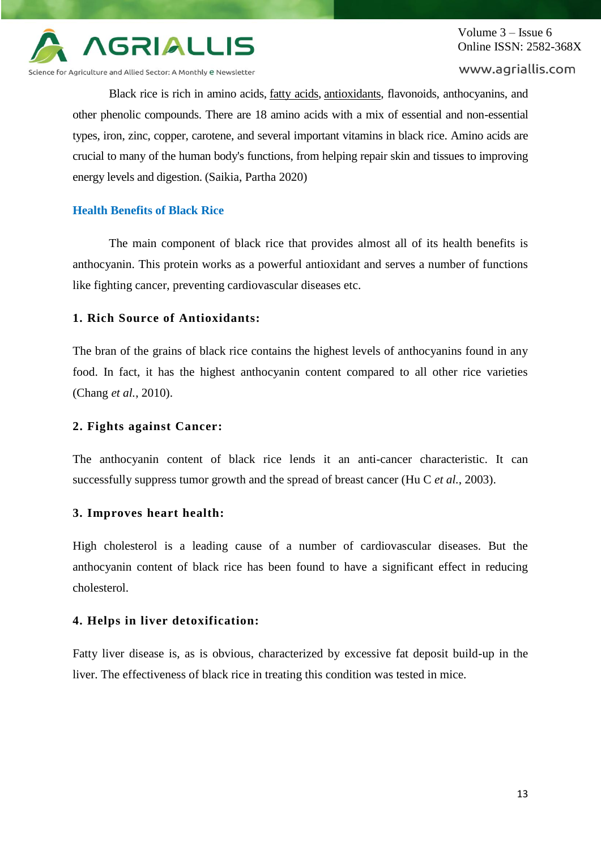

Science for Agriculture and Allied Sector: A Monthly e Newsletter

#### www.agriallis.com

Black rice is rich in amino acids, [fatty acids,](https://www.webmd.com/heart-disease/omega-3-fatty-acids-directory) [antioxidants,](https://www.webmd.com/diet/antioxidants-directory) flavonoids, anthocyanins, and other phenolic compounds. There are 18 amino acids with a mix of essential and non-essential types, iron, zinc, copper, carotene, and several important vitamins in black rice. Amino acids are crucial to many of the human body's functions, from helping repair skin and tissues to improving energy levels and digestion. (Saikia, Partha 2020)

# **Health Benefits of Black Rice**

The main component of black rice that provides almost all of its health benefits is anthocyanin. This protein works as a powerful antioxidant and serves a number of functions like fighting cancer, preventing cardiovascular diseases etc.

#### **1. Rich Source of Antioxidants:**

The bran of the grains of black rice contains the highest levels of anthocyanins found in any food. In fact, it has the highest anthocyanin content compared to all other rice varieties (Chang *et al.*, 2010).

#### **2. Fights against Cancer:**

The anthocyanin content of black rice lends it an anti-cancer characteristic. It can successfully suppress tumor growth and the spread of breast cancer (Hu C *et al.*, 2003).

#### **3. Improves heart health:**

High cholesterol is a leading cause of a number of cardiovascular diseases. But the anthocyanin content of black rice has been found to have a significant effect in reducing cholesterol.

#### **4. Helps in liver detoxification:**

Fatty liver disease is, as is obvious, characterized by excessive fat deposit build-up in the liver. The effectiveness of black rice in treating this condition was tested in mice.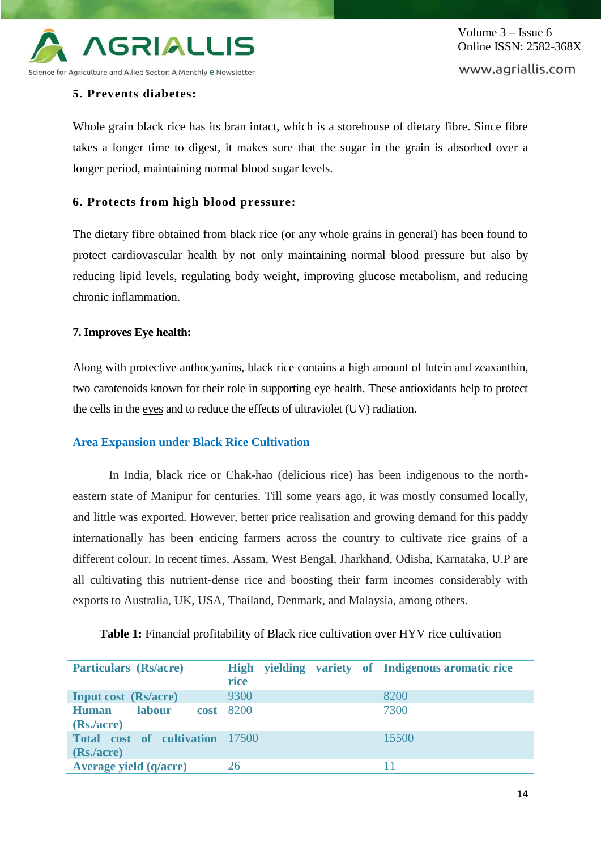

Volume 3 – Issue 6 Online ISSN: 2582-368X www.agriallis.com

# **5. Prevents diabetes:**

Whole grain black rice has its bran intact, which is a storehouse of dietary fibre. Since fibre takes a longer time to digest, it makes sure that the sugar in the grain is absorbed over a longer period, maintaining normal blood sugar levels.

## **6. Protects from high blood pressure:**

The dietary fibre obtained from black rice (or any whole grains in general) has been found to protect cardiovascular health by not only maintaining normal blood pressure but also by reducing lipid levels, regulating body weight, improving glucose metabolism, and reducing chronic inflammation.

#### **7. Improves Eye health:**

Along with protective anthocyanins, black rice contains a high amount of [lutein](https://www.webmd.com/eye-health/qa/why-are-lutein-and-zeaxanthin-good-for-your-eyes) and zeaxanthin, two carotenoids known for their role in supporting eye health. These antioxidants help to protect the cells in the [eyes](https://www.webmd.com/eye-health/default.htm) and to reduce the effects of ultraviolet (UV) radiation.

#### **Area Expansion under Black Rice Cultivation**

In India, black rice or Chak-hao (delicious rice) has been indigenous to the northeastern state of Manipur for centuries. Till some years ago, it was mostly consumed locally, and little was exported. However, better price realisation and growing demand for this paddy internationally has been enticing farmers across the country to cultivate rice grains of a different colour. In recent times, Assam, West Bengal, Jharkhand, Odisha, Karnataka, U.P are all cultivating this nutrient-dense rice and boosting their farm incomes considerably with exports to Australia, UK, USA, Thailand, Denmark, and Malaysia, among others.

| <b>Particulars (Rs/acre)</b>           | High yielding variety of Indigenous aromatic rice<br>rice |       |
|----------------------------------------|-----------------------------------------------------------|-------|
|                                        |                                                           |       |
| <b>Input cost</b> (Rs/acre)            | 9300                                                      | 8200  |
| <b>labour</b><br><b>Human</b>          | <b>cost</b> 8200                                          | 7300  |
| (Rs./acre)                             |                                                           |       |
| <b>Total cost of cultivation</b> 17500 |                                                           | 15500 |
| (Rs./acre)                             |                                                           |       |
| <b>Average yield (q/acre)</b>          | 26                                                        |       |

Table 1: Financial profitability of Black rice cultivation over HYV rice cultivation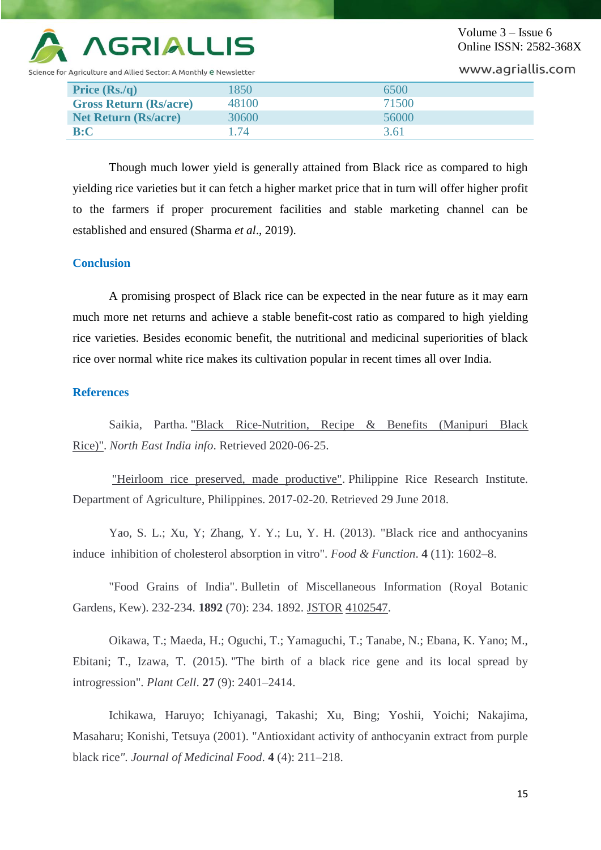

icience for Agriculture and Allied Sector: A Monthly <mark>e N</mark>ewsletter

Volume 3 – Issue 6 Online ISSN: 2582-368X

www.agriallis.com

| Price $(Rs/q)$                | 1850  | 6500  |
|-------------------------------|-------|-------|
| <b>Gross Return (Rs/acre)</b> | 48100 | 71500 |
| <b>Net Return (Rs/acre)</b>   | 30600 | 56000 |
| B:C                           | 1.74  | 3.61  |

Though much lower yield is generally attained from Black rice as compared to high yielding rice varieties but it can fetch a higher market price that in turn will offer higher profit to the farmers if proper procurement facilities and stable marketing channel can be established and ensured (Sharma *et al*., 2019).

### **Conclusion**

A promising prospect of Black rice can be expected in the near future as it may earn much more net returns and achieve a stable benefit-cost ratio as compared to high yielding rice varieties. Besides economic benefit, the nutritional and medicinal superiorities of black rice over normal white rice makes its cultivation popular in recent times all over India.

## **References**

Saikia, Partha. ["Black Rice-Nutrition, Recipe & Benefits \(Manipuri Black](https://www.northeastindiainfo.com/2020/06/black-rice.html)  [Rice\)".](https://www.northeastindiainfo.com/2020/06/black-rice.html) *North East India info*. Retrieved 2020-06-25.

["Heirloom rice preserved, made productive".](http://www.philrice.gov.ph/heirloom-rice-preserved-made-productive/) Philippine Rice Research Institute. Department of Agriculture, Philippines. 2017-02-20. Retrieved 29 June 2018.

Yao, S. L.; Xu, Y; Zhang, Y. Y.; Lu, Y. H. (2013). "Black rice and anthocyanins induce inhibition of cholesterol absorption in vitro". *Food & Function*. **4** (11): 1602–8.

"Food Grains of India". Bulletin of Miscellaneous Information (Royal Botanic Gardens, Kew). 232-234. **1892** (70): 234. 1892. [JSTOR](https://en.wikipedia.org/wiki/JSTOR_(identifier)) [4102547.](https://www.jstor.org/stable/4102547)

Oikawa, T.; Maeda, H.; Oguchi, T.; Yamaguchi, T.; Tanabe, N.; Ebana, K. Yano; M., Ebitani; T., Izawa, T. (2015). "The birth of a black rice gene and its local spread by introgression". *Plant Cell*. **27** (9): 2401–2414.

Ichikawa, Haruyo; Ichiyanagi, Takashi; Xu, Bing; Yoshii, Yoichi; Nakajima, Masaharu; Konishi, Tetsuya (2001). "Antioxidant activity of anthocyanin extract from purple black rice*". Journal of Medicinal Food*. **4** (4): 211–218.